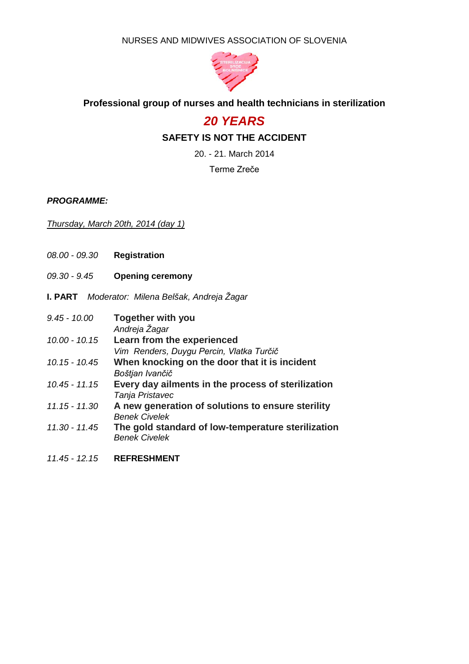NURSES AND MIDWIVES ASSOCIATION OF SLOVENIA



## **Professional group of nurses and health technicians in sterilization**

## *20 YEARS*

## **SAFETY IS NOT THE ACCIDENT**

20. - 21. March 2014

Terme Zreče

*PROGRAMME:*

## *Thursday, March 20th, 2014 (day 1)*

- *08.00 - 09.30* **Registration**
- *09.30 - 9.45* **Opening ceremony**
- **I. PART** *Moderator: Milena Belšak, Andreja Žagar*

| $9.45 - 10.00$  | <b>Together with you</b><br>Andreja Žagar                                  |
|-----------------|----------------------------------------------------------------------------|
| $10.00 - 10.15$ | Learn from the experienced                                                 |
|                 | Vim Renders, Duygu Percin, Vlatka Turčič                                   |
| $10.15 - 10.45$ | When knocking on the door that it is incident                              |
|                 | Boštjan Ivančič                                                            |
| $10.45 - 11.15$ | Every day ailments in the process of sterilization<br>Tanja Pristavec      |
| $11.15 - 11.30$ | A new generation of solutions to ensure sterility<br><b>Benek Civelek</b>  |
| 11.30 - 11.45   | The gold standard of low-temperature sterilization<br><b>Benek Civelek</b> |
|                 |                                                                            |

*11.45 - 12.15* **REFRESHMENT**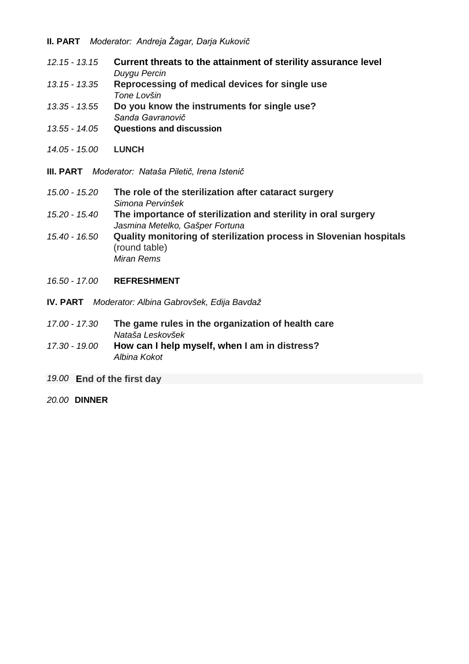- *12.15 - 13.15* **Current threats to the attainment of sterility assurance level** *Duygu Percin*
- *13.15 - 13.35* **Reprocessing of medical devices for single use** *Tone Lovšin*
- *13.35 - 13.55* **Do you know the instruments for single use?** *Sanda Gavranovič*
- *13.55 - 14.05* **Questions and discussion**
- *14.05 - 15.00* **LUNCH**
- **III. PART** *Moderator: Nataša Piletič, Irena Istenič*
- *15.00 - 15.20* **The role of the sterilization after cataract surgery** *Simona Pervinšek 15.20 - 15.40* **The importance of sterilization and sterility in oral surgery** *Jasmina Metelko, Gašper Fortuna*
- *15.40 - 16.50* **Quality monitoring of sterilization process in Slovenian hospitals** (round table) *Miran Rems*
- *16.50 - 17.00* **REFRESHMENT**
- **IV. PART** *Moderator: Albina Gabrovšek, Edija Bavdaž*
- *17.00 - 17.30* **The game rules in the organization of health care** *Nataša Leskovšek*
- *17.30 - 19.00* **How can I help myself, when I am in distress?** *Albina Kokot*
- *19.00* **End of the first day**
- *20.00* **DINNER**